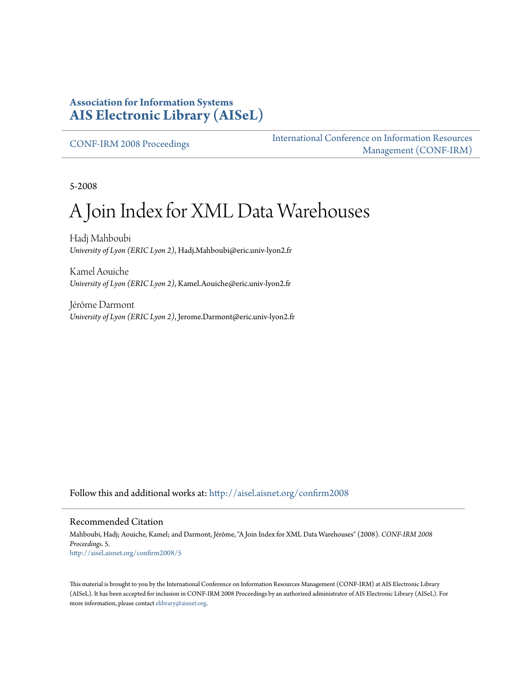#### **Association for Information Systems [AIS Electronic Library \(AISeL\)](http://aisel.aisnet.org?utm_source=aisel.aisnet.org%2Fconfirm2008%2F5&utm_medium=PDF&utm_campaign=PDFCoverPages)**

[CONF-IRM 2008 Proceedings](http://aisel.aisnet.org/confirm2008?utm_source=aisel.aisnet.org%2Fconfirm2008%2F5&utm_medium=PDF&utm_campaign=PDFCoverPages)

[International Conference on Information Resources](http://aisel.aisnet.org/conf-irm?utm_source=aisel.aisnet.org%2Fconfirm2008%2F5&utm_medium=PDF&utm_campaign=PDFCoverPages) [Management \(CONF-IRM\)](http://aisel.aisnet.org/conf-irm?utm_source=aisel.aisnet.org%2Fconfirm2008%2F5&utm_medium=PDF&utm_campaign=PDFCoverPages)

5-2008

# A Join Index for XML Data Warehouses

Hadj Mahboubi *University of Lyon (ERIC Lyon 2)*, Hadj.Mahboubi@eric.univ-lyon2.fr

Kamel Aouiche *University of Lyon (ERIC Lyon 2)*, Kamel.Aouiche@eric.univ-lyon2.fr

Jérôme Darmont *University of Lyon (ERIC Lyon 2)*, Jerome.Darmont@eric.univ-lyon2.fr

Follow this and additional works at: [http://aisel.aisnet.org/confirm2008](http://aisel.aisnet.org/confirm2008?utm_source=aisel.aisnet.org%2Fconfirm2008%2F5&utm_medium=PDF&utm_campaign=PDFCoverPages)

#### Recommended Citation

Mahboubi, Hadj; Aouiche, Kamel; and Darmont, Jérôme, "A Join Index for XML Data Warehouses" (2008). *CONF-IRM 2008 Proceedings*. 5. [http://aisel.aisnet.org/confirm2008/5](http://aisel.aisnet.org/confirm2008/5?utm_source=aisel.aisnet.org%2Fconfirm2008%2F5&utm_medium=PDF&utm_campaign=PDFCoverPages)

This material is brought to you by the International Conference on Information Resources Management (CONF-IRM) at AIS Electronic Library (AISeL). It has been accepted for inclusion in CONF-IRM 2008 Proceedings by an authorized administrator of AIS Electronic Library (AISeL). For more information, please contact [elibrary@aisnet.org.](mailto:elibrary@aisnet.org%3E)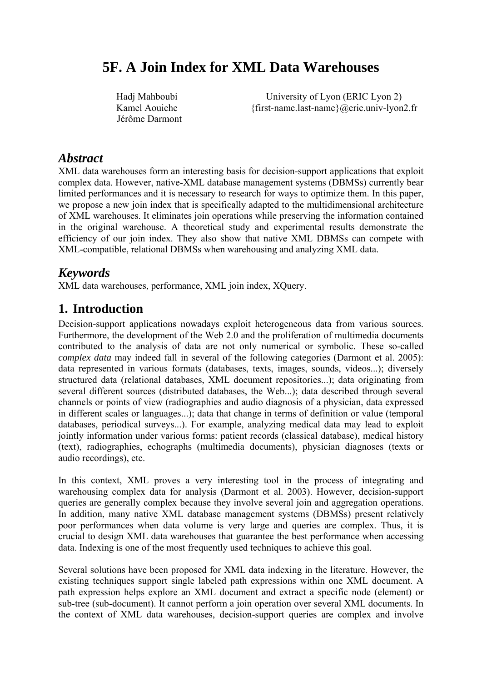# **5F. A Join Index for XML Data Warehouses**

Hadj Mahboubi Kamel Aouiche Jérôme Darmont

University of Lyon (ERIC Lyon 2) {first-name.last-name}@eric.univ-lyon2.fr

#### *Abstract*

XML data warehouses form an interesting basis for decision-support applications that exploit complex data. However, native-XML database management systems (DBMSs) currently bear limited performances and it is necessary to research for ways to optimize them. In this paper, we propose a new join index that is specifically adapted to the multidimensional architecture of XML warehouses. It eliminates join operations while preserving the information contained in the original warehouse. A theoretical study and experimental results demonstrate the efficiency of our join index. They also show that native XML DBMSs can compete with XML-compatible, relational DBMSs when warehousing and analyzing XML data.

#### *Keywords*

XML data warehouses, performance, XML join index, XQuery.

### **1. Introduction**

Decision-support applications nowadays exploit heterogeneous data from various sources. Furthermore, the development of the Web 2.0 and the proliferation of multimedia documents contributed to the analysis of data are not only numerical or symbolic. These so-called *complex data* may indeed fall in several of the following categories (Darmont et al. 2005): data represented in various formats (databases, texts, images, sounds, videos...); diversely structured data (relational databases, XML document repositories...); data originating from several different sources (distributed databases, the Web...); data described through several channels or points of view (radiographies and audio diagnosis of a physician, data expressed in different scales or languages...); data that change in terms of definition or value (temporal databases, periodical surveys...). For example, analyzing medical data may lead to exploit jointly information under various forms: patient records (classical database), medical history (text), radiographies, echographs (multimedia documents), physician diagnoses (texts or audio recordings), etc.

In this context, XML proves a very interesting tool in the process of integrating and warehousing complex data for analysis (Darmont et al. 2003). However, decision-support queries are generally complex because they involve several join and aggregation operations. In addition, many native XML database management systems (DBMSs) present relatively poor performances when data volume is very large and queries are complex. Thus, it is crucial to design XML data warehouses that guarantee the best performance when accessing data. Indexing is one of the most frequently used techniques to achieve this goal.

Several solutions have been proposed for XML data indexing in the literature. However, the existing techniques support single labeled path expressions within one XML document. A path expression helps explore an XML document and extract a specific node (element) or sub-tree (sub-document). It cannot perform a join operation over several XML documents. In the context of XML data warehouses, decision-support queries are complex and involve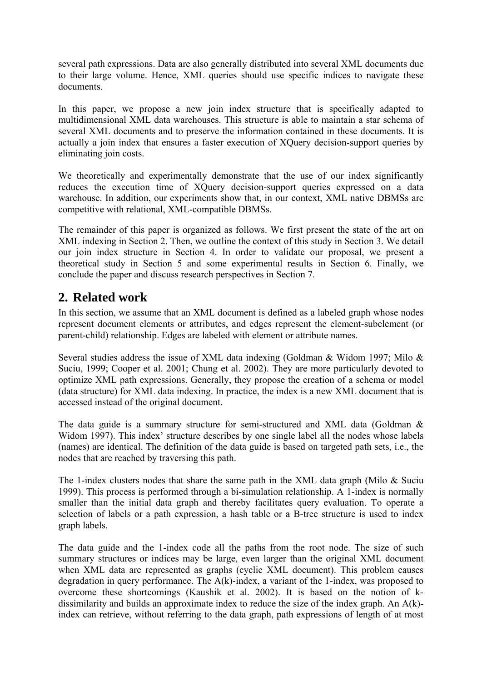several path expressions. Data are also generally distributed into several XML documents due to their large volume. Hence, XML queries should use specific indices to navigate these documents.

In this paper, we propose a new join index structure that is specifically adapted to multidimensional XML data warehouses. This structure is able to maintain a star schema of several XML documents and to preserve the information contained in these documents. It is actually a join index that ensures a faster execution of XQuery decision-support queries by eliminating join costs.

We theoretically and experimentally demonstrate that the use of our index significantly reduces the execution time of XQuery decision-support queries expressed on a data warehouse. In addition, our experiments show that, in our context, XML native DBMSs are competitive with relational, XML-compatible DBMSs.

The remainder of this paper is organized as follows. We first present the state of the art on XML indexing in Section 2. Then, we outline the context of this study in Section 3. We detail our join index structure in Section 4. In order to validate our proposal, we present a theoretical study in Section 5 and some experimental results in Section 6. Finally, we conclude the paper and discuss research perspectives in Section 7.

# **2. Related work**

In this section, we assume that an XML document is defined as a labeled graph whose nodes represent document elements or attributes, and edges represent the element-subelement (or parent-child) relationship. Edges are labeled with element or attribute names.

Several studies address the issue of XML data indexing (Goldman & Widom 1997; Milo & Suciu, 1999; Cooper et al. 2001; Chung et al. 2002). They are more particularly devoted to optimize XML path expressions. Generally, they propose the creation of a schema or model (data structure) for XML data indexing. In practice, the index is a new XML document that is accessed instead of the original document.

The data guide is a summary structure for semi-structured and XML data (Goldman & Widom 1997). This index' structure describes by one single label all the nodes whose labels (names) are identical. The definition of the data guide is based on targeted path sets, i.e., the nodes that are reached by traversing this path.

The 1-index clusters nodes that share the same path in the XML data graph (Milo & Suciu 1999). This process is performed through a bi-simulation relationship. A 1-index is normally smaller than the initial data graph and thereby facilitates query evaluation. To operate a selection of labels or a path expression, a hash table or a B-tree structure is used to index graph labels.

The data guide and the 1-index code all the paths from the root node. The size of such summary structures or indices may be large, even larger than the original XML document when XML data are represented as graphs (cyclic XML document). This problem causes degradation in query performance. The A(k)-index, a variant of the 1-index, was proposed to overcome these shortcomings (Kaushik et al. 2002). It is based on the notion of kdissimilarity and builds an approximate index to reduce the size of the index graph. An A(k) index can retrieve, without referring to the data graph, path expressions of length of at most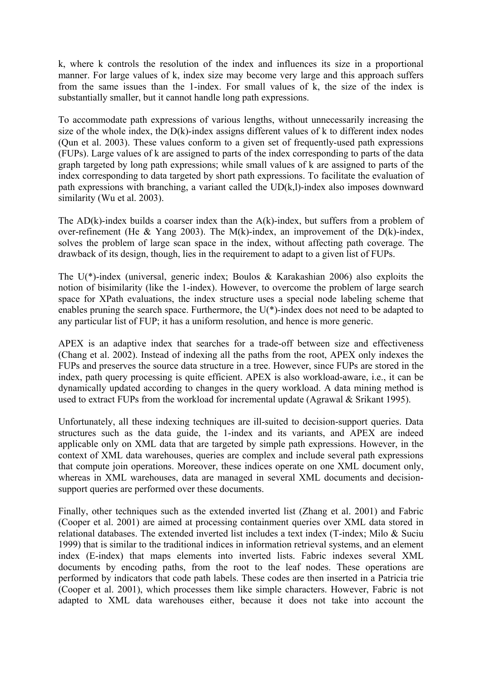k, where k controls the resolution of the index and influences its size in a proportional manner. For large values of k, index size may become very large and this approach suffers from the same issues than the 1-index. For small values of k, the size of the index is substantially smaller, but it cannot handle long path expressions.

To accommodate path expressions of various lengths, without unnecessarily increasing the size of the whole index, the D(k)-index assigns different values of k to different index nodes (Qun et al. 2003). These values conform to a given set of frequently-used path expressions (FUPs). Large values of k are assigned to parts of the index corresponding to parts of the data graph targeted by long path expressions; while small values of k are assigned to parts of the index corresponding to data targeted by short path expressions. To facilitate the evaluation of path expressions with branching, a variant called the UD(k,l)-index also imposes downward similarity (Wu et al. 2003).

The  $AD(k)$ -index builds a coarser index than the  $A(k)$ -index, but suffers from a problem of over-refinement (He & Yang 2003). The M(k)-index, an improvement of the  $\overline{D}(k)$ -index. solves the problem of large scan space in the index, without affecting path coverage. The drawback of its design, though, lies in the requirement to adapt to a given list of FUPs.

The U(\*)-index (universal, generic index; Boulos & Karakashian 2006) also exploits the notion of bisimilarity (like the 1-index). However, to overcome the problem of large search space for XPath evaluations, the index structure uses a special node labeling scheme that enables pruning the search space. Furthermore, the U(\*)-index does not need to be adapted to any particular list of FUP; it has a uniform resolution, and hence is more generic.

APEX is an adaptive index that searches for a trade-off between size and effectiveness (Chang et al. 2002). Instead of indexing all the paths from the root, APEX only indexes the FUPs and preserves the source data structure in a tree. However, since FUPs are stored in the index, path query processing is quite efficient. APEX is also workload-aware, i.e., it can be dynamically updated according to changes in the query workload. A data mining method is used to extract FUPs from the workload for incremental update (Agrawal & Srikant 1995).

Unfortunately, all these indexing techniques are ill-suited to decision-support queries. Data structures such as the data guide, the 1-index and its variants, and APEX are indeed applicable only on XML data that are targeted by simple path expressions. However, in the context of XML data warehouses, queries are complex and include several path expressions that compute join operations. Moreover, these indices operate on one XML document only, whereas in XML warehouses, data are managed in several XML documents and decisionsupport queries are performed over these documents.

Finally, other techniques such as the extended inverted list (Zhang et al. 2001) and Fabric (Cooper et al. 2001) are aimed at processing containment queries over XML data stored in relational databases. The extended inverted list includes a text index (T-index; Milo & Suciu 1999) that is similar to the traditional indices in information retrieval systems, and an element index (E-index) that maps elements into inverted lists. Fabric indexes several XML documents by encoding paths, from the root to the leaf nodes. These operations are performed by indicators that code path labels. These codes are then inserted in a Patricia trie (Cooper et al. 2001), which processes them like simple characters. However, Fabric is not adapted to XML data warehouses either, because it does not take into account the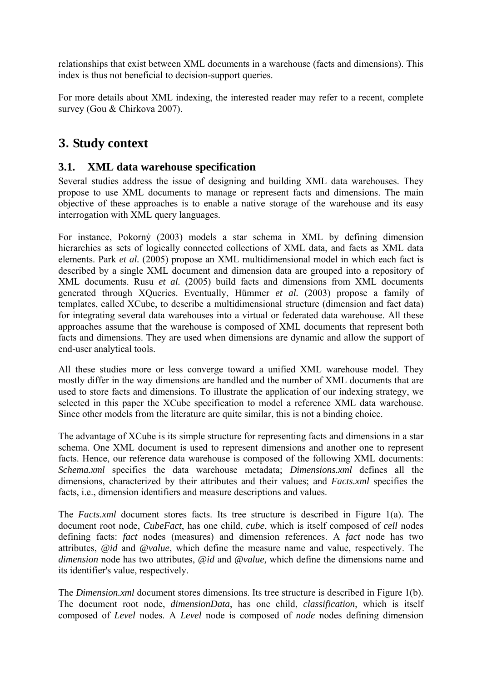relationships that exist between XML documents in a warehouse (facts and dimensions). This index is thus not beneficial to decision-support queries.

For more details about XML indexing, the interested reader may refer to a recent, complete survey (Gou & Chirkova 2007).

# **3. Study context**

#### **3.1. XML data warehouse specification**

Several studies address the issue of designing and building XML data warehouses. They propose to use XML documents to manage or represent facts and dimensions. The main objective of these approaches is to enable a native storage of the warehouse and its easy interrogation with XML query languages.

For instance, Pokornỷ (2003) models a star schema in XML by defining dimension hierarchies as sets of logically connected collections of XML data, and facts as XML data elements. Park *et al.* (2005) propose an XML multidimensional model in which each fact is described by a single XML document and dimension data are grouped into a repository of XML documents. Rusu *et al.* (2005) build facts and dimensions from XML documents generated through XQueries. Eventually, Hümmer *et al.* (2003) propose a family of templates, called XCube, to describe a multidimensional structure (dimension and fact data) for integrating several data warehouses into a virtual or federated data warehouse. All these approaches assume that the warehouse is composed of XML documents that represent both facts and dimensions. They are used when dimensions are dynamic and allow the support of end-user analytical tools.

All these studies more or less converge toward a unified XML warehouse model. They mostly differ in the way dimensions are handled and the number of XML documents that are used to store facts and dimensions. To illustrate the application of our indexing strategy, we selected in this paper the XCube specification to model a reference XML data warehouse. Since other models from the literature are quite similar, this is not a binding choice.

The advantage of XCube is its simple structure for representing facts and dimensions in a star schema. One XML document is used to represent dimensions and another one to represent facts. Hence, our reference data warehouse is composed of the following XML documents: *Schema.xml* specifies the data warehouse metadata; *Dimensions.xml* defines all the dimensions, characterized by their attributes and their values; and *Facts.xml* specifies the facts, i.e., dimension identifiers and measure descriptions and values.

The *Facts.xml* document stores facts. Its tree structure is described in Figure 1(a). The document root node, *CubeFact*, has one child, *cube*, which is itself composed of *cell* nodes defining facts: *fact* nodes (measures) and dimension references. A *fact* node has two attributes, *@id* and *@value*, which define the measure name and value, respectively. The *dimension* node has two attributes, *@id* and *@value,* which define the dimensions name and its identifier's value, respectively.

The *Dimension.xml* document stores dimensions. Its tree structure is described in Figure 1(b). The document root node, *dimensionData*, has one child, *classification*, which is itself composed of *Level* nodes. A *Level* node is composed of *node* nodes defining dimension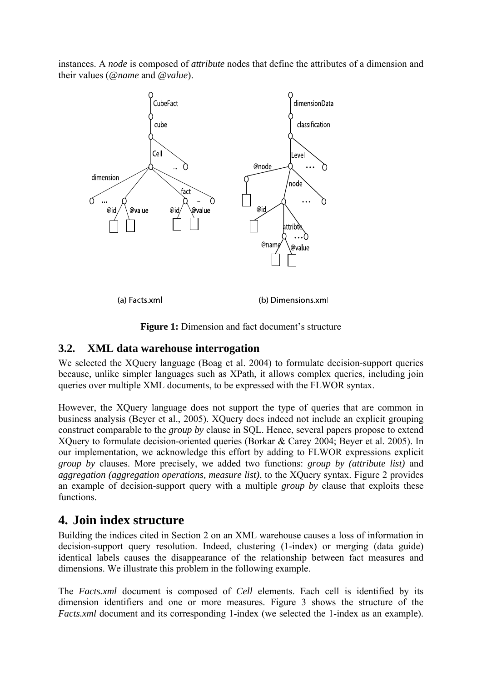instances. A *node* is composed of *attribute* nodes that define the attributes of a dimension and their values (*@name* and *@value*).





#### **3.2. XML data warehouse interrogation**

We selected the XOuery language (Boag et al. 2004) to formulate decision-support queries because, unlike simpler languages such as XPath, it allows complex queries, including join queries over multiple XML documents, to be expressed with the FLWOR syntax.

However, the XQuery language does not support the type of queries that are common in business analysis (Beyer et al., 2005). XQuery does indeed not include an explicit grouping construct comparable to the *group by* clause in SQL. Hence, several papers propose to extend XQuery to formulate decision-oriented queries (Borkar & Carey 2004; Beyer et al. 2005). In our implementation, we acknowledge this effort by adding to FLWOR expressions explicit *group by* clauses. More precisely, we added two functions: *group by (attribute list)* and *aggregation (aggregation operations, measure list)*, to the XQuery syntax. Figure 2 provides an example of decision-support query with a multiple *group by* clause that exploits these functions.

# **4. Join index structure**

Building the indices cited in Section 2 on an XML warehouse causes a loss of information in decision-support query resolution. Indeed, clustering (1-index) or merging (data guide) identical labels causes the disappearance of the relationship between fact measures and dimensions. We illustrate this problem in the following example.

The *Facts.xml* document is composed of *Cell* elements. Each cell is identified by its dimension identifiers and one or more measures. Figure 3 shows the structure of the *Facts.xml* document and its corresponding 1-index (we selected the 1-index as an example).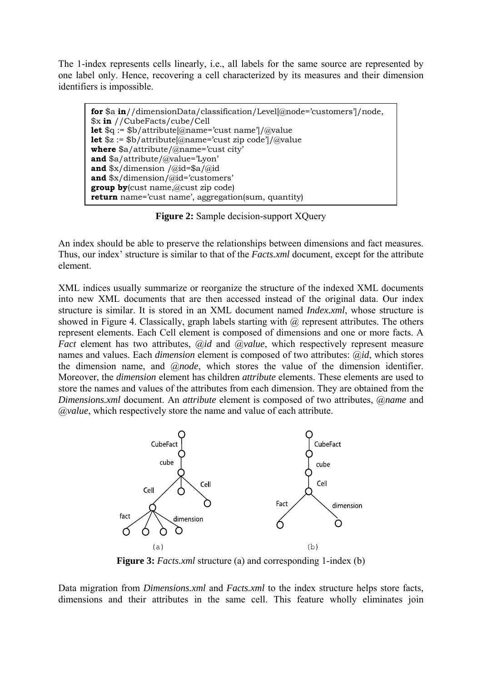The 1-index represents cells linearly, i.e., all labels for the same source are represented by one label only. Hence, recovering a cell characterized by its measures and their dimension identifiers is impossible.

**for** \$a **in**//dimensionData/classification/Level[@node='customers']/node, \$x **in** //CubeFacts/cube/Cell **let** \$q := \$b/attribute[@name='cust name']/@value **let** \$z := \$b/attribute[@name='cust zip code']/@value **where** \$a/attribute/@name='cust city' **and** \$a/attribute/@value='Lyon' **and** \$x/dimension /@id=\$a/@id **and** \$x/dimension/@id='customers' **group by**(cust name,@cust zip code) **return** name='cust name', aggregation(sum, quantity)

**Figure 2:** Sample decision-support XQuery

An index should be able to preserve the relationships between dimensions and fact measures. Thus, our index' structure is similar to that of the *Facts.xml* document, except for the attribute element.

XML indices usually summarize or reorganize the structure of the indexed XML documents into new XML documents that are then accessed instead of the original data. Our index structure is similar. It is stored in an XML document named *Index.xml*, whose structure is showed in Figure 4. Classically, graph labels starting with  $\omega$  represent attributes. The others represent elements. Each Cell element is composed of dimensions and one or more facts. A *Fact* element has two attributes, @*id* and @*value*, which respectively represent measure names and values. Each *dimension* element is composed of two attributes: @*id*, which stores the dimension name, and @*node*, which stores the value of the dimension identifier. Moreover, the *dimension* element has children *attribute* elements. These elements are used to store the names and values of the attributes from each dimension. They are obtained from the *Dimensions.xml* document. An *attribute* element is composed of two attributes, @*name* and @*value*, which respectively store the name and value of each attribute.



**Figure 3:** *Facts.xml* structure (a) and corresponding 1-index (b)

Data migration from *Dimensions.xml* and *Facts.xml* to the index structure helps store facts, dimensions and their attributes in the same cell. This feature wholly eliminates join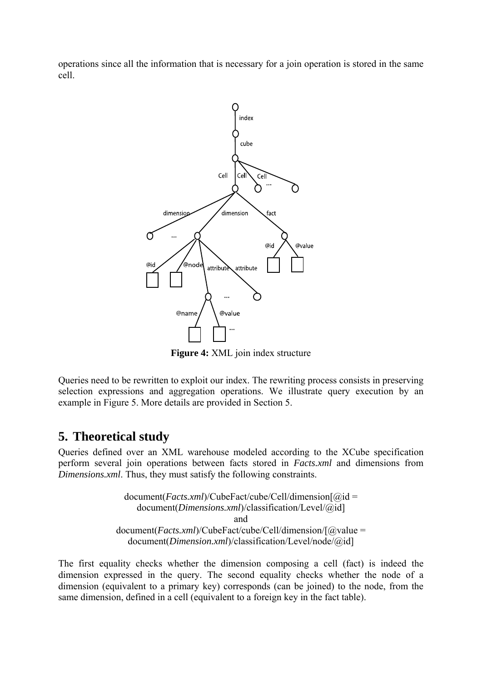operations since all the information that is necessary for a join operation is stored in the same cell.



**Figure 4:** XML join index structure

Queries need to be rewritten to exploit our index. The rewriting process consists in preserving selection expressions and aggregation operations. We illustrate query execution by an example in Figure 5. More details are provided in Section 5.

#### **5. Theoretical study**

Queries defined over an XML warehouse modeled according to the XCube specification perform several join operations between facts stored in *Facts.xml* and dimensions from *Dimensions.xml*. Thus, they must satisfy the following constraints.

> document(*Facts.xml*)/CubeFact/cube/Cell/dimension[@id = document(*Dimensions.xml*)/classification/Level/@id] and document(*Facts.xml*)/CubeFact/cube/Cell/dimension/[@value = document(*Dimension.xml*)/classification/Level/node/@id]

The first equality checks whether the dimension composing a cell (fact) is indeed the dimension expressed in the query. The second equality checks whether the node of a dimension (equivalent to a primary key) corresponds (can be joined) to the node, from the same dimension, defined in a cell (equivalent to a foreign key in the fact table).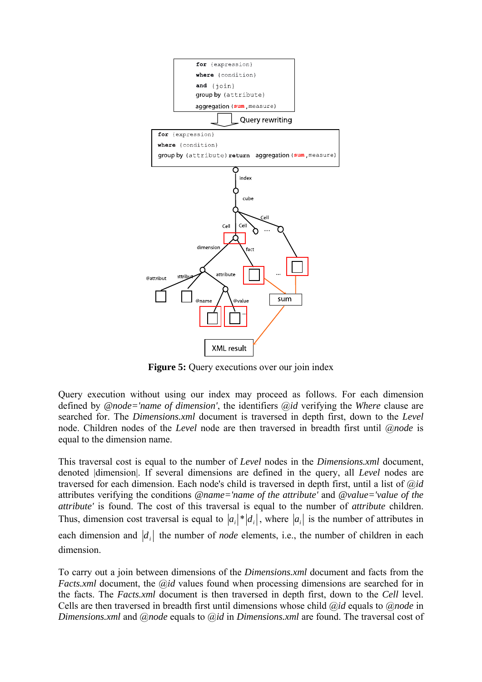

**Figure 5:** Query executions over our join index

Query execution without using our index may proceed as follows. For each dimension defined by *@node='name of dimension'*, the identifiers @*id* verifying the *Where* clause are searched for. The *Dimensions.xml* document is traversed in depth first, down to the *Level*  node. Children nodes of the *Level* node are then traversed in breadth first until @*node* is equal to the dimension name.

This traversal cost is equal to the number of *Level* nodes in the *Dimensions.xml* document, denoted |dimension|. If several dimensions are defined in the query, all *Level* nodes are traversed for each dimension. Each node's child is traversed in depth first, until a list of @*id*  attributes verifying the conditions *@name='name of the attribute'* and *@value='value of the attribute'* is found. The cost of this traversal is equal to the number of *attribute* children. Thus, dimension cost traversal is equal to  $|a_i|^* |d_i|$ , where  $|a_i|$  is the number of attributes in each dimension and  $\left| d \right|$  the number of *node* elements, i.e., the number of children in each dimension.

To carry out a join between dimensions of the *Dimensions.xml* document and facts from the *Facts.xml* document, the *@id* values found when processing dimensions are searched for in the facts. The *Facts.xml* document is then traversed in depth first, down to the *Cell* level. Cells are then traversed in breadth first until dimensions whose child @*id* equals to @*node* in *Dimensions.xml* and @*node* equals to @*id* in *Dimensions.xml* are found. The traversal cost of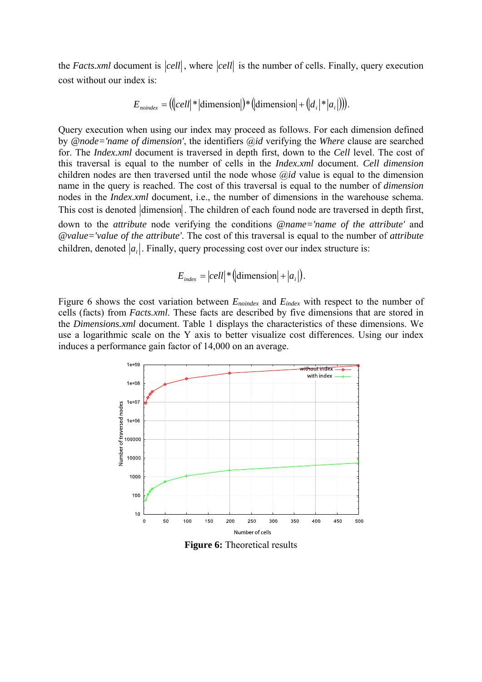the *Facts.xml* document is  $\vert cell \vert$ , where  $\vert cell \vert$  is the number of cells. Finally, query execution cost without our index is:

$$
E_{\text{nondex}} = ((|cell| * |dimension|) * (|dimension| + (|d_i| * |a_i|))).
$$

Query execution when using our index may proceed as follows. For each dimension defined by *@node='name of dimension'*, the identifiers @*id* verifying the *Where* clause are searched for. The *Index.xml* document is traversed in depth first, down to the *Cell* level. The cost of this traversal is equal to the number of cells in the *Index.xml* document. *Cell dimension*  children nodes are then traversed until the node whose @*id* value is equal to the dimension name in the query is reached. The cost of this traversal is equal to the number of *dimension*  nodes in the *Index.xml* document, i.e., the number of dimensions in the warehouse schema. This cost is denoted dimension. The children of each found node are traversed in depth first, down to the *attribute* node verifying the conditions *@name='name of the attribute'* and *@value='value of the attribute'*. The cost of this traversal is equal to the number of *attribute*  children, denoted  $|a_i|$ . Finally, query processing cost over our index structure is:

$$
E_{index} = |cell| * (|dimension| + |a_i|).
$$

Figure 6 shows the cost variation between *Enoindex* and *Eindex* with respect to the number of cells (facts) from *Facts.xml*. These facts are described by five dimensions that are stored in the *Dimensions.xml* document. Table 1 displays the characteristics of these dimensions. We use a logarithmic scale on the Y axis to better visualize cost differences. Using our index induces a performance gain factor of 14,000 on an average.



**Figure 6:** Theoretical results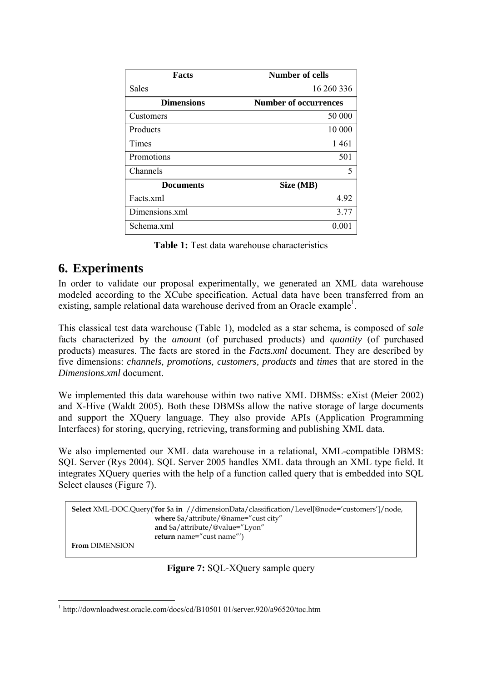| <b>Facts</b>      | <b>Number of cells</b>       |
|-------------------|------------------------------|
| Sales             | 16 260 336                   |
| <b>Dimensions</b> | <b>Number of occurrences</b> |
| Customers         | 50 000                       |
| Products          | 10 000                       |
| Times             | 1461                         |
| Promotions        | 501                          |
| Channels          | 5                            |
| <b>Documents</b>  | Size (MB)                    |
| Facts.xml         | 4.92                         |
| Dimensions.xml    | 3.77                         |
| Schema.xml        | $0.00^{\circ}$               |

**Table 1:** Test data warehouse characteristics

# **6. Experiments**

In order to validate our proposal experimentally, we generated an XML data warehouse modeled according to the XCube specification. Actual data have been transferred from an existing, sample relational data warehouse derived from an Oracle example<sup>1</sup>.

This classical test data warehouse (Table 1), modeled as a star schema, is composed of *sale* facts characterized by the *amount* (of purchased products) and *quantity* (of purchased products) measures. The facts are stored in the *Facts.xml* document. They are described by five dimensions: *channels, promotions, customers, products* and *times* that are stored in the *Dimensions.xml* document.

We implemented this data warehouse within two native XML DBMSs: eXist (Meier 2002) and X-Hive (Waldt 2005). Both these DBMSs allow the native storage of large documents and support the XQuery language. They also provide APIs (Application Programming Interfaces) for storing, querying, retrieving, transforming and publishing XML data.

We also implemented our XML data warehouse in a relational, XML-compatible DBMS: SQL Server (Rys 2004). SQL Server 2005 handles XML data through an XML type field. It integrates XQuery queries with the help of a function called query that is embedded into SQL Select clauses (Figure 7).

```
Select XML-DOC.Query('for $a in //dimensionData/classification/Level[@node='customers']/node, 
                         where $a/attribute/@name="cust city" 
                         and $a/attribute/@value="Lyon" 
                         return name="cust name"') 
From DIMENSION
```
**Figure 7:** SQL-XQuery sample query

<sup>&</sup>lt;u>.</u> <sup>1</sup> http://downloadwest.oracle.com/docs/cd/B10501 01/server.920/a96520/toc.htm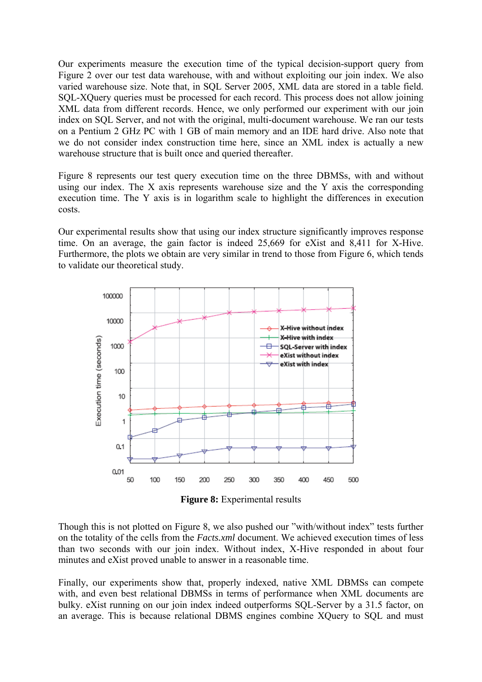Our experiments measure the execution time of the typical decision-support query from Figure 2 over our test data warehouse, with and without exploiting our join index. We also varied warehouse size. Note that, in SQL Server 2005, XML data are stored in a table field. SQL-XQuery queries must be processed for each record. This process does not allow joining XML data from different records. Hence, we only performed our experiment with our join index on SQL Server, and not with the original, multi-document warehouse. We ran our tests on a Pentium 2 GHz PC with 1 GB of main memory and an IDE hard drive. Also note that we do not consider index construction time here, since an XML index is actually a new warehouse structure that is built once and queried thereafter.

Figure 8 represents our test query execution time on the three DBMSs, with and without using our index. The X axis represents warehouse size and the Y axis the corresponding execution time. The Y axis is in logarithm scale to highlight the differences in execution costs.

Our experimental results show that using our index structure significantly improves response time. On an average, the gain factor is indeed 25,669 for eXist and 8,411 for X-Hive. Furthermore, the plots we obtain are very similar in trend to those from Figure 6, which tends to validate our theoretical study.



**Figure 8:** Experimental results

Though this is not plotted on Figure 8, we also pushed our "with/without index" tests further on the totality of the cells from the *Facts.xml* document. We achieved execution times of less than two seconds with our join index. Without index, X-Hive responded in about four minutes and eXist proved unable to answer in a reasonable time.

Finally, our experiments show that, properly indexed, native XML DBMSs can compete with, and even best relational DBMSs in terms of performance when XML documents are bulky. eXist running on our join index indeed outperforms SQL-Server by a 31.5 factor, on an average. This is because relational DBMS engines combine XQuery to SQL and must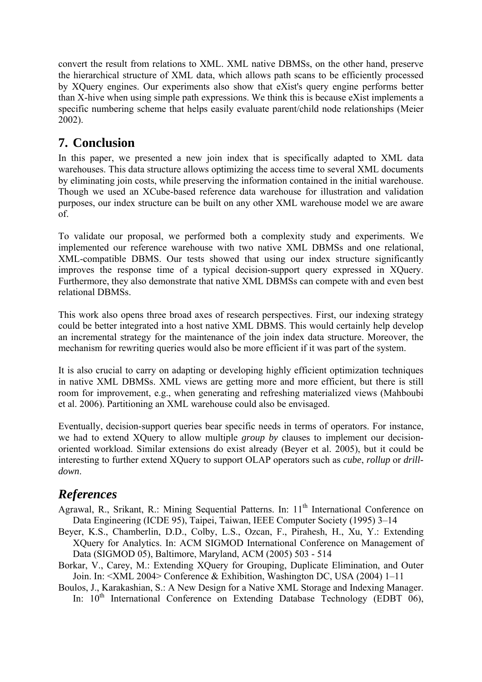convert the result from relations to XML. XML native DBMSs, on the other hand, preserve the hierarchical structure of XML data, which allows path scans to be efficiently processed by XQuery engines. Our experiments also show that eXist's query engine performs better than X-hive when using simple path expressions. We think this is because eXist implements a specific numbering scheme that helps easily evaluate parent/child node relationships (Meier 2002).

# **7. Conclusion**

In this paper, we presented a new join index that is specifically adapted to XML data warehouses. This data structure allows optimizing the access time to several XML documents by eliminating join costs, while preserving the information contained in the initial warehouse. Though we used an XCube-based reference data warehouse for illustration and validation purposes, our index structure can be built on any other XML warehouse model we are aware of.

To validate our proposal, we performed both a complexity study and experiments. We implemented our reference warehouse with two native XML DBMSs and one relational, XML-compatible DBMS. Our tests showed that using our index structure significantly improves the response time of a typical decision-support query expressed in XQuery. Furthermore, they also demonstrate that native XML DBMSs can compete with and even best relational DBMSs.

This work also opens three broad axes of research perspectives. First, our indexing strategy could be better integrated into a host native XML DBMS. This would certainly help develop an incremental strategy for the maintenance of the join index data structure. Moreover, the mechanism for rewriting queries would also be more efficient if it was part of the system.

It is also crucial to carry on adapting or developing highly efficient optimization techniques in native XML DBMSs. XML views are getting more and more efficient, but there is still room for improvement, e.g., when generating and refreshing materialized views (Mahboubi et al. 2006). Partitioning an XML warehouse could also be envisaged.

Eventually, decision-support queries bear specific needs in terms of operators. For instance, we had to extend XQuery to allow multiple *group by* clauses to implement our decisionoriented workload. Similar extensions do exist already (Beyer et al. 2005), but it could be interesting to further extend XQuery to support OLAP operators such as *cube*, *rollup* or *drilldown*.

# *References*

- Agrawal, R., Srikant, R.: Mining Sequential Patterns. In: 11<sup>th</sup> International Conference on Data Engineering (ICDE 95), Taipei, Taiwan, IEEE Computer Society (1995) 3–14
- Beyer, K.S., Chamberlin, D.D., Colby, L.S., Ozcan, F., Pirahesh, H., Xu, Y.: Extending XQuery for Analytics. In: ACM SIGMOD International Conference on Management of Data (SIGMOD 05), Baltimore, Maryland, ACM (2005) 503 - 514
- Borkar, V., Carey, M.: Extending XQuery for Grouping, Duplicate Elimination, and Outer Join. In: <XML 2004> Conference & Exhibition, Washington DC, USA (2004) 1–11
- Boulos, J., Karakashian, S.: A New Design for a Native XML Storage and Indexing Manager. In:  $10<sup>th</sup>$  International Conference on Extending Database Technology (EDBT 06),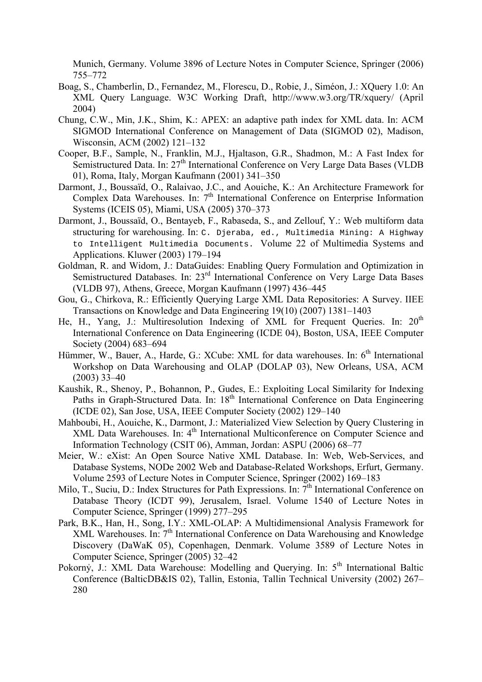Munich, Germany. Volume 3896 of Lecture Notes in Computer Science, Springer (2006) 755–772

- Boag, S., Chamberlin, D., Fernandez, M., Florescu, D., Robie, J., Siméon, J.: XQuery 1.0: An XML Query Language. W3C Working Draft, http://www.w3.org/TR/xquery/ (April 2004)
- Chung, C.W., Min, J.K., Shim, K.: APEX: an adaptive path index for XML data. In: ACM SIGMOD International Conference on Management of Data (SIGMOD 02), Madison, Wisconsin, ACM (2002) 121–132
- Cooper, B.F., Sample, N., Franklin, M.J., Hjaltason, G.R., Shadmon, M.: A Fast Index for Semistructured Data. In: 27<sup>th</sup> International Conference on Very Large Data Bases (VLDB 01), Roma, Italy, Morgan Kaufmann (2001) 341–350
- Darmont, J., Boussaïd, O., Ralaivao, J.C., and Aouiche, K.: An Architecture Framework for Complex Data Warehouses. In: 7<sup>th</sup> International Conference on Enterprise Information Systems (ICEIS 05), Miami, USA (2005) 370–373
- Darmont, J., Boussaïd, O., Bentayeb, F., Rabaseda, S., and Zellouf, Y.: Web multiform data structuring for warehousing. In: C. Djeraba, ed., Multimedia Mining: A Highway to Intelligent Multimedia Documents. Volume 22 of Multimedia Systems and Applications. Kluwer (2003) 179–194
- Goldman, R. and Widom, J.: DataGuides: Enabling Query Formulation and Optimization in Semistructured Databases. In: 23<sup>rd</sup> International Conference on Very Large Data Bases (VLDB 97), Athens, Greece, Morgan Kaufmann (1997) 436–445
- Gou, G., Chirkova, R.: Efficiently Querying Large XML Data Repositories: A Survey. IIEE Transactions on Knowledge and Data Engineering 19(10) (2007) 1381–1403
- He, H., Yang, J.: Multiresolution Indexing of XML for Frequent Queries. In:  $20<sup>th</sup>$ International Conference on Data Engineering (ICDE 04), Boston, USA, IEEE Computer Society (2004) 683–694
- Hümmer, W., Bauer, A., Harde, G.: XCube: XML for data warehouses. In: 6<sup>th</sup> International Workshop on Data Warehousing and OLAP (DOLAP 03), New Orleans, USA, ACM (2003) 33–40
- Kaushik, R., Shenoy, P., Bohannon, P., Gudes, E.: Exploiting Local Similarity for Indexing Paths in Graph-Structured Data. In: 18<sup>th</sup> International Conference on Data Engineering (ICDE 02), San Jose, USA, IEEE Computer Society (2002) 129–140
- Mahboubi, H., Aouiche, K., Darmont, J.: Materialized View Selection by Query Clustering in XML Data Warehouses. In: 4<sup>th</sup> International Multiconference on Computer Science and Information Technology (CSIT 06), Amman, Jordan: ASPU (2006) 68–77
- Meier, W.: eXist: An Open Source Native XML Database. In: Web, Web-Services, and Database Systems, NODe 2002 Web and Database-Related Workshops, Erfurt, Germany. Volume 2593 of Lecture Notes in Computer Science, Springer (2002) 169–183
- Milo, T., Suciu, D.: Index Structures for Path Expressions. In: 7<sup>th</sup> International Conference on Database Theory (ICDT 99), Jerusalem, Israel. Volume 1540 of Lecture Notes in Computer Science, Springer (1999) 277–295
- Park, B.K., Han, H., Song, I.Y.: XML-OLAP: A Multidimensional Analysis Framework for XML Warehouses. In:  $7<sup>th</sup>$  International Conference on Data Warehousing and Knowledge Discovery (DaWaK 05), Copenhagen, Denmark. Volume 3589 of Lecture Notes in Computer Science, Springer (2005) 32–42
- Pokorný, J.: XML Data Warehouse: Modelling and Querying. In: 5<sup>th</sup> International Baltic Conference (BalticDB&IS 02), Tallin, Estonia, Tallin Technical University (2002) 267– 280